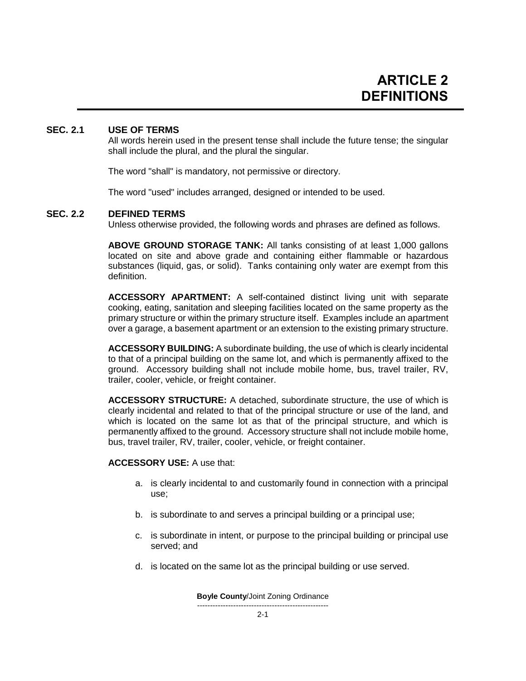## **SEC. 2.1 USE OF TERMS**

All words herein used in the present tense shall include the future tense; the singular shall include the plural, and the plural the singular.

The word "shall" is mandatory, not permissive or directory.

The word "used" includes arranged, designed or intended to be used.

### **SEC. 2.2 DEFINED TERMS**

Unless otherwise provided, the following words and phrases are defined as follows.

**ABOVE GROUND STORAGE TANK:** All tanks consisting of at least 1,000 gallons located on site and above grade and containing either flammable or hazardous substances (liquid, gas, or solid). Tanks containing only water are exempt from this definition.

**ACCESSORY APARTMENT:** A self-contained distinct living unit with separate cooking, eating, sanitation and sleeping facilities located on the same property as the primary structure or within the primary structure itself. Examples include an apartment over a garage, a basement apartment or an extension to the existing primary structure.

**ACCESSORY BUILDING:** A subordinate building, the use of which is clearly incidental to that of a principal building on the same lot, and which is permanently affixed to the ground. Accessory building shall not include mobile home, bus, travel trailer, RV, trailer, cooler, vehicle, or freight container.

**ACCESSORY STRUCTURE:** A detached, subordinate structure, the use of which is clearly incidental and related to that of the principal structure or use of the land, and which is located on the same lot as that of the principal structure, and which is permanently affixed to the ground. Accessory structure shall not include mobile home, bus, travel trailer, RV, trailer, cooler, vehicle, or freight container.

**ACCESSORY USE:** A use that:

- a. is clearly incidental to and customarily found in connection with a principal use;
- b. is subordinate to and serves a principal building or a principal use;
- c. is subordinate in intent, or purpose to the principal building or principal use served; and
- d. is located on the same lot as the principal building or use served.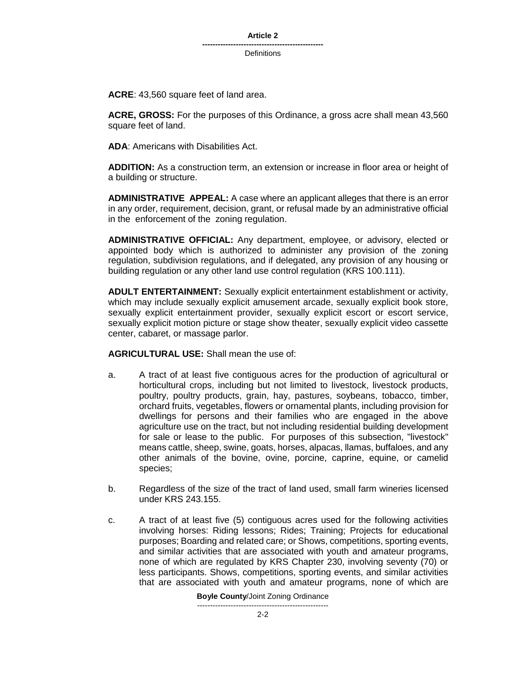**Article 2**

**----------------------------------------------- Definitions** 

**ACRE**: 43,560 square feet of land area.

**ACRE, GROSS:** For the purposes of this Ordinance, a gross acre shall mean 43,560 square feet of land.

**ADA**: Americans with Disabilities Act.

**ADDITION:** As a construction term, an extension or increase in floor area or height of a building or structure.

**ADMINISTRATIVE APPEAL:** A case where an applicant alleges that there is an error in any order, requirement, decision, grant, or refusal made by an administrative official in the enforcement of the zoning regulation.

**ADMINISTRATIVE OFFICIAL:** Any department, employee, or advisory, elected or appointed body which is authorized to administer any provision of the zoning regulation, subdivision regulations, and if delegated, any provision of any housing or building regulation or any other land use control regulation (KRS 100.111).

**ADULT ENTERTAINMENT:** Sexually explicit entertainment establishment or activity, which may include sexually explicit amusement arcade, sexually explicit book store, sexually explicit entertainment provider, sexually explicit escort or escort service, sexually explicit motion picture or stage show theater, sexually explicit video cassette center, cabaret, or massage parlor.

**AGRICULTURAL USE:** Shall mean the use of:

- a. A tract of at least five contiguous acres for the production of agricultural or horticultural crops, including but not limited to livestock, livestock products, poultry, poultry products, grain, hay, pastures, soybeans, tobacco, timber, orchard fruits, vegetables, flowers or ornamental plants, including provision for dwellings for persons and their families who are engaged in the above agriculture use on the tract, but not including residential building development for sale or lease to the public. For purposes of this subsection, "livestock" means cattle, sheep, swine, goats, horses, alpacas, llamas, buffaloes, and any other animals of the bovine, ovine, porcine, caprine, equine, or camelid species;
- b. Regardless of the size of the tract of land used, small farm wineries licensed under KRS 243.155.
- c. A tract of at least five (5) contiguous acres used for the following activities involving horses: Riding lessons; Rides; Training; Projects for educational purposes; Boarding and related care; or Shows, competitions, sporting events, and similar activities that are associated with youth and amateur programs, none of which are regulated by KRS Chapter 230, involving seventy (70) or less participants. Shows, competitions, sporting events, and similar activities that are associated with youth and amateur programs, none of which are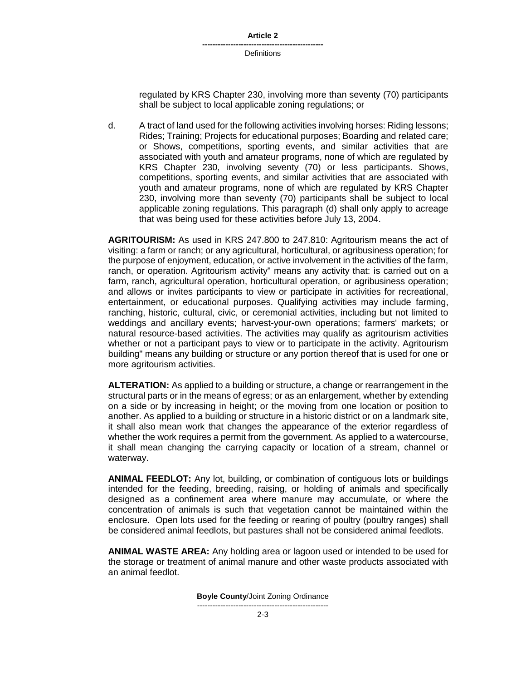| Article 2 |  |
|-----------|--|
|-----------|--|

regulated by KRS Chapter 230, involving more than seventy (70) participants shall be subject to local applicable zoning regulations; or

d. A tract of land used for the following activities involving horses: Riding lessons; Rides; Training; Projects for educational purposes; Boarding and related care; or Shows, competitions, sporting events, and similar activities that are associated with youth and amateur programs, none of which are regulated by KRS Chapter 230, involving seventy (70) or less participants. Shows, competitions, sporting events, and similar activities that are associated with youth and amateur programs, none of which are regulated by KRS Chapter 230, involving more than seventy (70) participants shall be subject to local applicable zoning regulations. This paragraph (d) shall only apply to acreage that was being used for these activities before July 13, 2004.

**AGRITOURISM:** As used in KRS 247.800 to 247.810: Agritourism means the act of visiting: a farm or ranch; or any agricultural, horticultural, or agribusiness operation; for the purpose of enjoyment, education, or active involvement in the activities of the farm, ranch, or operation. Agritourism activity" means any activity that: is carried out on a farm, ranch, agricultural operation, horticultural operation, or agribusiness operation; and allows or invites participants to view or participate in activities for recreational, entertainment, or educational purposes. Qualifying activities may include farming, ranching, historic, cultural, civic, or ceremonial activities, including but not limited to weddings and ancillary events; harvest-your-own operations; farmers' markets; or natural resource-based activities. The activities may qualify as agritourism activities whether or not a participant pays to view or to participate in the activity. Agritourism building" means any building or structure or any portion thereof that is used for one or more agritourism activities.

**ALTERATION:** As applied to a building or structure, a change or rearrangement in the structural parts or in the means of egress; or as an enlargement, whether by extending on a side or by increasing in height; or the moving from one location or position to another. As applied to a building or structure in a historic district or on a landmark site, it shall also mean work that changes the appearance of the exterior regardless of whether the work requires a permit from the government. As applied to a watercourse, it shall mean changing the carrying capacity or location of a stream, channel or waterway.

**ANIMAL FEEDLOT:** Any lot, building, or combination of contiguous lots or buildings intended for the feeding, breeding, raising, or holding of animals and specifically designed as a confinement area where manure may accumulate, or where the concentration of animals is such that vegetation cannot be maintained within the enclosure. Open lots used for the feeding or rearing of poultry (poultry ranges) shall be considered animal feedlots, but pastures shall not be considered animal feedlots.

**ANIMAL WASTE AREA:** Any holding area or lagoon used or intended to be used for the storage or treatment of animal manure and other waste products associated with an animal feedlot.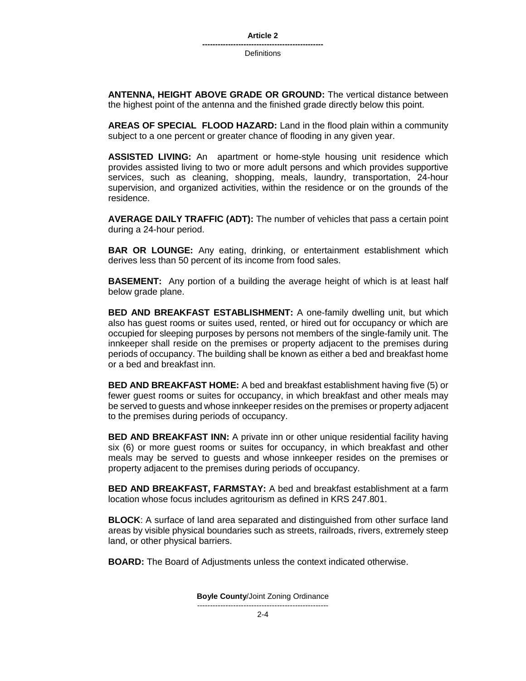**Definitions** 

**ANTENNA, HEIGHT ABOVE GRADE OR GROUND:** The vertical distance between the highest point of the antenna and the finished grade directly below this point.

**AREAS OF SPECIAL FLOOD HAZARD:** Land in the flood plain within a community subject to a one percent or greater chance of flooding in any given year.

**ASSISTED LIVING:** An apartment or home-style housing unit residence which provides assisted living to two or more adult persons and which provides supportive services, such as cleaning, shopping, meals, laundry, transportation, 24-hour supervision, and organized activities, within the residence or on the grounds of the residence.

**AVERAGE DAILY TRAFFIC (ADT):** The number of vehicles that pass a certain point during a 24-hour period.

**BAR OR LOUNGE:** Any eating, drinking, or entertainment establishment which derives less than 50 percent of its income from food sales.

**BASEMENT:** Any portion of a building the average height of which is at least half below grade plane.

**BED AND BREAKFAST ESTABLISHMENT:** A one-family dwelling unit, but which also has guest rooms or suites used, rented, or hired out for occupancy or which are occupied for sleeping purposes by persons not members of the single-family unit. The innkeeper shall reside on the premises or property adjacent to the premises during periods of occupancy. The building shall be known as either a bed and breakfast home or a bed and breakfast inn.

**BED AND BREAKFAST HOME:** A bed and breakfast establishment having five (5) or fewer guest rooms or suites for occupancy, in which breakfast and other meals may be served to guests and whose innkeeper resides on the premises or property adjacent to the premises during periods of occupancy.

**BED AND BREAKFAST INN:** A private inn or other unique residential facility having six (6) or more guest rooms or suites for occupancy, in which breakfast and other meals may be served to guests and whose innkeeper resides on the premises or property adjacent to the premises during periods of occupancy.

**BED AND BREAKFAST, FARMSTAY:** A bed and breakfast establishment at a farm location whose focus includes agritourism as defined in KRS 247.801.

**BLOCK**: A surface of land area separated and distinguished from other surface land areas by visible physical boundaries such as streets, railroads, rivers, extremely steep land, or other physical barriers.

**BOARD:** The Board of Adjustments unless the context indicated otherwise.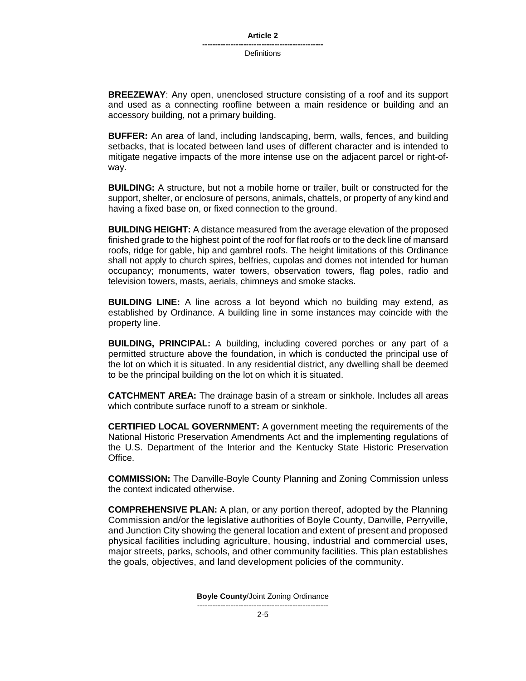**BREEZEWAY**: Any open, unenclosed structure consisting of a roof and its support and used as a connecting roofline between a main residence or building and an accessory building, not a primary building.

**BUFFER:** An area of land, including landscaping, berm, walls, fences, and building setbacks, that is located between land uses of different character and is intended to mitigate negative impacts of the more intense use on the adjacent parcel or right-ofway.

**BUILDING:** A structure, but not a mobile home or trailer, built or constructed for the support, shelter, or enclosure of persons, animals, chattels, or property of any kind and having a fixed base on, or fixed connection to the ground.

**BUILDING HEIGHT:** A distance measured from the average elevation of the proposed finished grade to the highest point of the roof for flat roofs or to the deck line of mansard roofs, ridge for gable, hip and gambrel roofs. The height limitations of this Ordinance shall not apply to church spires, belfries, cupolas and domes not intended for human occupancy; monuments, water towers, observation towers, flag poles, radio and television towers, masts, aerials, chimneys and smoke stacks.

**BUILDING LINE:** A line across a lot beyond which no building may extend, as established by Ordinance. A building line in some instances may coincide with the property line.

**BUILDING, PRINCIPAL:** A building, including covered porches or any part of a permitted structure above the foundation, in which is conducted the principal use of the lot on which it is situated. In any residential district, any dwelling shall be deemed to be the principal building on the lot on which it is situated.

**CATCHMENT AREA:** The drainage basin of a stream or sinkhole. Includes all areas which contribute surface runoff to a stream or sinkhole.

**CERTIFIED LOCAL GOVERNMENT:** A government meeting the requirements of the National Historic Preservation Amendments Act and the implementing regulations of the U.S. Department of the Interior and the Kentucky State Historic Preservation Office.

**COMMISSION:** The Danville-Boyle County Planning and Zoning Commission unless the context indicated otherwise.

**COMPREHENSIVE PLAN:** A plan, or any portion thereof, adopted by the Planning Commission and/or the legislative authorities of Boyle County, Danville, Perryville, and Junction City showing the general location and extent of present and proposed physical facilities including agriculture, housing, industrial and commercial uses, major streets, parks, schools, and other community facilities. This plan establishes the goals, objectives, and land development policies of the community.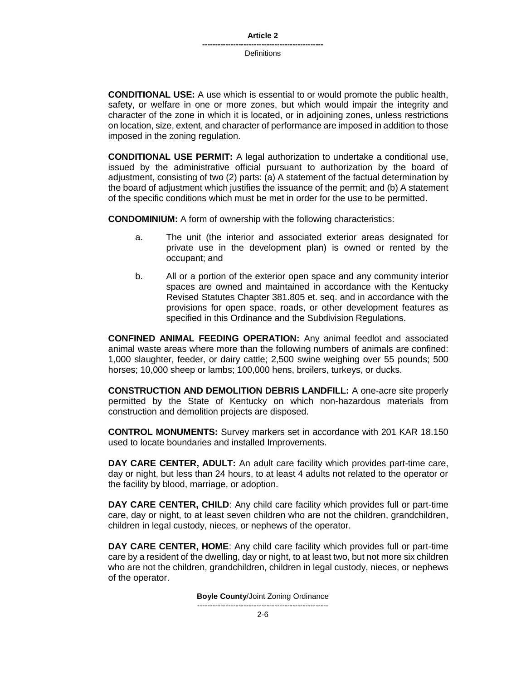**CONDITIONAL USE:** A use which is essential to or would promote the public health, safety, or welfare in one or more zones, but which would impair the integrity and character of the zone in which it is located, or in adjoining zones, unless restrictions on location, size, extent, and character of performance are imposed in addition to those imposed in the zoning regulation.

**CONDITIONAL USE PERMIT:** A legal authorization to undertake a conditional use, issued by the administrative official pursuant to authorization by the board of adjustment, consisting of two (2) parts: (a) A statement of the factual determination by the board of adjustment which justifies the issuance of the permit; and (b) A statement of the specific conditions which must be met in order for the use to be permitted.

**CONDOMINIUM:** A form of ownership with the following characteristics:

- a. The unit (the interior and associated exterior areas designated for private use in the development plan) is owned or rented by the occupant; and
- b. All or a portion of the exterior open space and any community interior spaces are owned and maintained in accordance with the Kentucky Revised Statutes Chapter 381.805 et. seq. and in accordance with the provisions for open space, roads, or other development features as specified in this Ordinance and the Subdivision Regulations.

**CONFINED ANIMAL FEEDING OPERATION:** Any animal feedlot and associated animal waste areas where more than the following numbers of animals are confined: 1,000 slaughter, feeder, or dairy cattle; 2,500 swine weighing over 55 pounds; 500 horses; 10,000 sheep or lambs; 100,000 hens, broilers, turkeys, or ducks.

**CONSTRUCTION AND DEMOLITION DEBRIS LANDFILL:** A one-acre site properly permitted by the State of Kentucky on which non-hazardous materials from construction and demolition projects are disposed.

**CONTROL MONUMENTS:** Survey markers set in accordance with 201 KAR 18.150 used to locate boundaries and installed Improvements.

**DAY CARE CENTER, ADULT:** An adult care facility which provides part-time care, day or night, but less than 24 hours, to at least 4 adults not related to the operator or the facility by blood, marriage, or adoption.

**DAY CARE CENTER, CHILD**: Any child care facility which provides full or part-time care, day or night, to at least seven children who are not the children, grandchildren, children in legal custody, nieces, or nephews of the operator.

**DAY CARE CENTER, HOME**: Any child care facility which provides full or part-time care by a resident of the dwelling, day or night, to at least two, but not more six children who are not the children, grandchildren, children in legal custody, nieces, or nephews of the operator.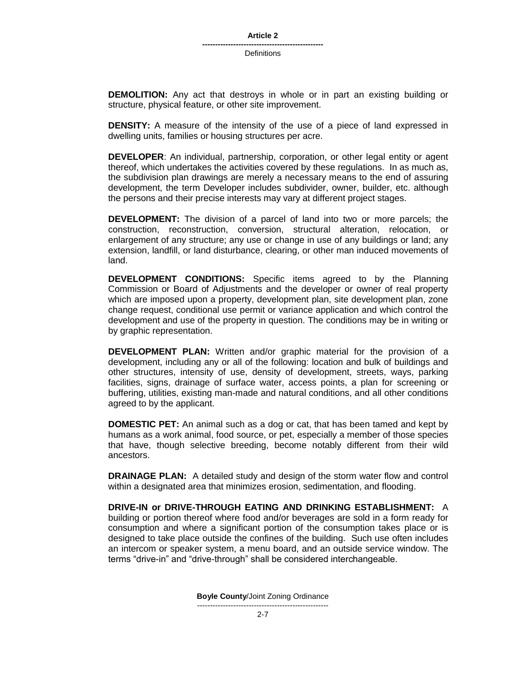**DEMOLITION:** Any act that destroys in whole or in part an existing building or structure, physical feature, or other site improvement.

**DENSITY:** A measure of the intensity of the use of a piece of land expressed in dwelling units, families or housing structures per acre.

**DEVELOPER**: An individual, partnership, corporation, or other legal entity or agent thereof, which undertakes the activities covered by these regulations. In as much as, the subdivision plan drawings are merely a necessary means to the end of assuring development, the term Developer includes subdivider, owner, builder, etc. although the persons and their precise interests may vary at different project stages.

**DEVELOPMENT:** The division of a parcel of land into two or more parcels; the construction, reconstruction, conversion, structural alteration, relocation, or enlargement of any structure; any use or change in use of any buildings or land; any extension, landfill, or land disturbance, clearing, or other man induced movements of land.

**DEVELOPMENT CONDITIONS:** Specific items agreed to by the Planning Commission or Board of Adjustments and the developer or owner of real property which are imposed upon a property, development plan, site development plan, zone change request, conditional use permit or variance application and which control the development and use of the property in question. The conditions may be in writing or by graphic representation.

**DEVELOPMENT PLAN:** Written and/or graphic material for the provision of a development, including any or all of the following: location and bulk of buildings and other structures, intensity of use, density of development, streets, ways, parking facilities, signs, drainage of surface water, access points, a plan for screening or buffering, utilities, existing man-made and natural conditions, and all other conditions agreed to by the applicant.

**DOMESTIC PET:** An animal such as a dog or cat, that has been tamed and kept by humans as a work animal, food source, or pet, especially a member of those species that have, though selective breeding, become notably different from their wild ancestors.

**DRAINAGE PLAN:** A detailed study and design of the storm water flow and control within a designated area that minimizes erosion, sedimentation, and flooding.

**DRIVE-IN or DRIVE-THROUGH EATING AND DRINKING ESTABLISHMENT:** A building or portion thereof where food and/or beverages are sold in a form ready for consumption and where a significant portion of the consumption takes place or is designed to take place outside the confines of the building. Such use often includes an intercom or speaker system, a menu board, and an outside service window. The terms "drive-in" and "drive-through" shall be considered interchangeable.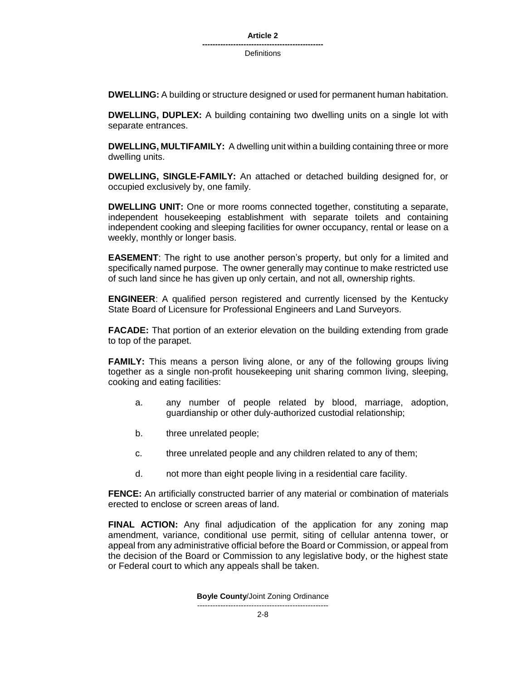**DWELLING:** A building or structure designed or used for permanent human habitation.

**DWELLING, DUPLEX:** A building containing two dwelling units on a single lot with separate entrances.

**DWELLING, MULTIFAMILY:** A dwelling unit within a building containing three or more dwelling units.

**DWELLING, SINGLE-FAMILY:** An attached or detached building designed for, or occupied exclusively by, one family.

**DWELLING UNIT:** One or more rooms connected together, constituting a separate, independent housekeeping establishment with separate toilets and containing independent cooking and sleeping facilities for owner occupancy, rental or lease on a weekly, monthly or longer basis.

**EASEMENT**: The right to use another person's property, but only for a limited and specifically named purpose. The owner generally may continue to make restricted use of such land since he has given up only certain, and not all, ownership rights.

**ENGINEER**: A qualified person registered and currently licensed by the Kentucky State Board of Licensure for Professional Engineers and Land Surveyors.

**FACADE:** That portion of an exterior elevation on the building extending from grade to top of the parapet.

**FAMILY:** This means a person living alone, or any of the following groups living together as a single non-profit housekeeping unit sharing common living, sleeping, cooking and eating facilities:

- a. any number of people related by blood, marriage, adoption, guardianship or other duly-authorized custodial relationship;
- b. three unrelated people;
- c. three unrelated people and any children related to any of them;
- d. not more than eight people living in a residential care facility.

**FENCE:** An artificially constructed barrier of any material or combination of materials erected to enclose or screen areas of land.

**FINAL ACTION:** Any final adjudication of the application for any zoning map amendment, variance, conditional use permit, siting of cellular antenna tower, or appeal from any administrative official before the Board or Commission, or appeal from the decision of the Board or Commission to any legislative body, or the highest state or Federal court to which any appeals shall be taken.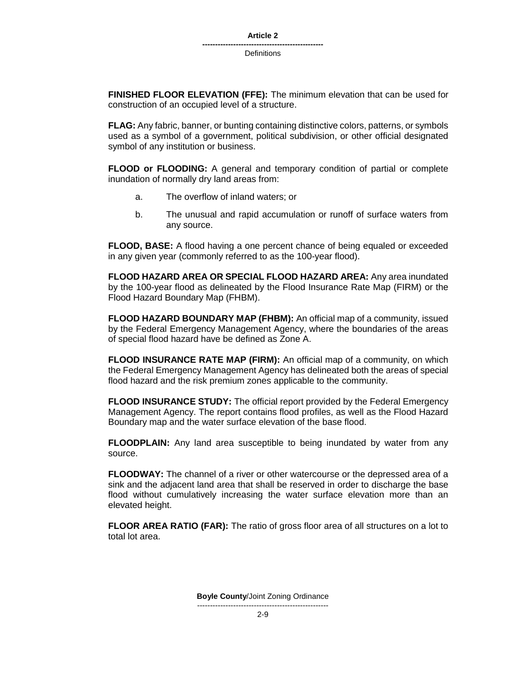**FINISHED FLOOR ELEVATION (FFE):** The minimum elevation that can be used for construction of an occupied level of a structure.

**FLAG:** Any fabric, banner, or bunting containing distinctive colors, patterns, or symbols used as a symbol of a government, political subdivision, or other official designated symbol of any institution or business.

**FLOOD or FLOODING:** A general and temporary condition of partial or complete inundation of normally dry land areas from:

- a. The overflow of inland waters; or
- b. The unusual and rapid accumulation or runoff of surface waters from any source.

**FLOOD, BASE:** A flood having a one percent chance of being equaled or exceeded in any given year (commonly referred to as the 100-year flood).

**FLOOD HAZARD AREA OR SPECIAL FLOOD HAZARD AREA:** Any area inundated by the 100-year flood as delineated by the Flood Insurance Rate Map (FIRM) or the Flood Hazard Boundary Map (FHBM).

**FLOOD HAZARD BOUNDARY MAP (FHBM):** An official map of a community, issued by the Federal Emergency Management Agency, where the boundaries of the areas of special flood hazard have be defined as Zone A.

**FLOOD INSURANCE RATE MAP (FIRM):** An official map of a community, on which the Federal Emergency Management Agency has delineated both the areas of special flood hazard and the risk premium zones applicable to the community.

**FLOOD INSURANCE STUDY:** The official report provided by the Federal Emergency Management Agency. The report contains flood profiles, as well as the Flood Hazard Boundary map and the water surface elevation of the base flood.

**FLOODPLAIN:** Any land area susceptible to being inundated by water from any source.

**FLOODWAY:** The channel of a river or other watercourse or the depressed area of a sink and the adjacent land area that shall be reserved in order to discharge the base flood without cumulatively increasing the water surface elevation more than an elevated height.

**FLOOR AREA RATIO (FAR):** The ratio of gross floor area of all structures on a lot to total lot area.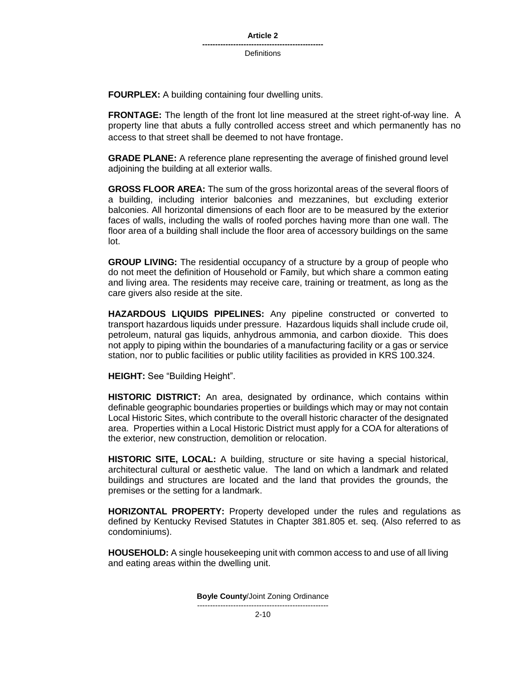**FOURPLEX:** A building containing four dwelling units.

**FRONTAGE:** The length of the front lot line measured at the street right-of-way line. A property line that abuts a fully controlled access street and which permanently has no access to that street shall be deemed to not have frontage.

**GRADE PLANE:** A reference plane representing the average of finished ground level adjoining the building at all exterior walls.

**GROSS FLOOR AREA:** The sum of the gross horizontal areas of the several floors of a building, including interior balconies and mezzanines, but excluding exterior balconies. All horizontal dimensions of each floor are to be measured by the exterior faces of walls, including the walls of roofed porches having more than one wall. The floor area of a building shall include the floor area of accessory buildings on the same lot.

**GROUP LIVING:** The residential occupancy of a structure by a group of people who do not meet the definition of Household or Family, but which share a common eating and living area. The residents may receive care, training or treatment, as long as the care givers also reside at the site.

**HAZARDOUS LIQUIDS PIPELINES:** Any pipeline constructed or converted to transport hazardous liquids under pressure. Hazardous liquids shall include crude oil, petroleum, natural gas liquids, anhydrous ammonia, and carbon dioxide. This does not apply to piping within the boundaries of a manufacturing facility or a gas or service station, nor to public facilities or public utility facilities as provided in KRS 100.324.

**HEIGHT:** See "Building Height".

**HISTORIC DISTRICT:** An area, designated by ordinance, which contains within definable geographic boundaries properties or buildings which may or may not contain Local Historic Sites, which contribute to the overall historic character of the designated area. Properties within a Local Historic District must apply for a COA for alterations of the exterior, new construction, demolition or relocation.

**HISTORIC SITE, LOCAL:** A building, structure or site having a special historical, architectural cultural or aesthetic value. The land on which a landmark and related buildings and structures are located and the land that provides the grounds, the premises or the setting for a landmark.

**HORIZONTAL PROPERTY:** Property developed under the rules and regulations as defined by Kentucky Revised Statutes in Chapter 381.805 et. seq. (Also referred to as condominiums).

**HOUSEHOLD:** A single housekeeping unit with common access to and use of all living and eating areas within the dwelling unit.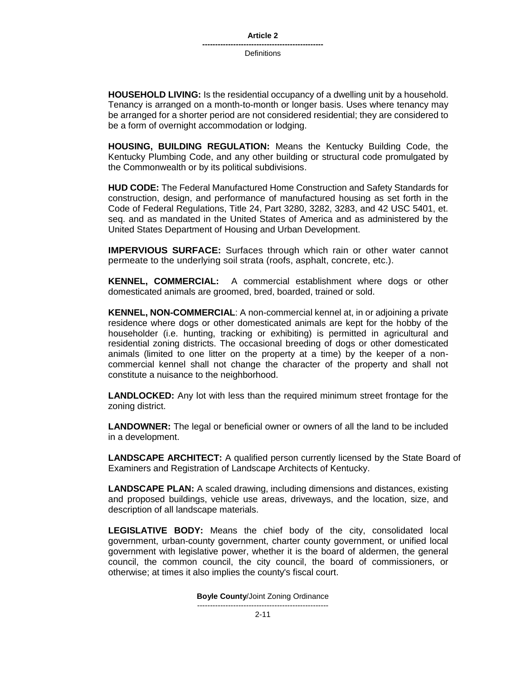**HOUSEHOLD LIVING:** Is the residential occupancy of a dwelling unit by a household. Tenancy is arranged on a month-to-month or longer basis. Uses where tenancy may be arranged for a shorter period are not considered residential; they are considered to be a form of overnight accommodation or lodging.

**HOUSING, BUILDING REGULATION:** Means the Kentucky Building Code, the Kentucky Plumbing Code, and any other building or structural code promulgated by the Commonwealth or by its political subdivisions.

**HUD CODE:** The Federal Manufactured Home Construction and Safety Standards for construction, design, and performance of manufactured housing as set forth in the Code of Federal Regulations, Title 24, Part 3280, 3282, 3283, and 42 USC 5401, et. seq. and as mandated in the United States of America and as administered by the United States Department of Housing and Urban Development.

**IMPERVIOUS SURFACE:** Surfaces through which rain or other water cannot permeate to the underlying soil strata (roofs, asphalt, concrete, etc.).

**KENNEL, COMMERCIAL:** A commercial establishment where dogs or other domesticated animals are groomed, bred, boarded, trained or sold.

**KENNEL, NON-COMMERCIAL**: A non-commercial kennel at, in or adjoining a private residence where dogs or other domesticated animals are kept for the hobby of the householder (i.e. hunting, tracking or exhibiting) is permitted in agricultural and residential zoning districts. The occasional breeding of dogs or other domesticated animals (limited to one litter on the property at a time) by the keeper of a noncommercial kennel shall not change the character of the property and shall not constitute a nuisance to the neighborhood.

**LANDLOCKED:** Any lot with less than the required minimum street frontage for the zoning district.

**LANDOWNER:** The legal or beneficial owner or owners of all the land to be included in a development.

**LANDSCAPE ARCHITECT:** A qualified person currently licensed by the State Board of Examiners and Registration of Landscape Architects of Kentucky.

**LANDSCAPE PLAN:** A scaled drawing, including dimensions and distances, existing and proposed buildings, vehicle use areas, driveways, and the location, size, and description of all landscape materials.

**LEGISLATIVE BODY:** Means the chief body of the city, consolidated local government, urban-county government, charter county government, or unified local government with legislative power, whether it is the board of aldermen, the general council, the common council, the city council, the board of commissioners, or otherwise; at times it also implies the county's fiscal court.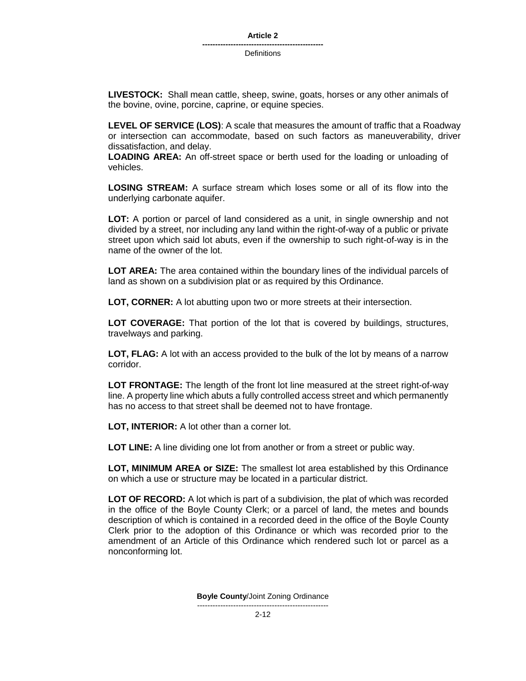**LIVESTOCK:** Shall mean cattle, sheep, swine, goats, horses or any other animals of the bovine, ovine, porcine, caprine, or equine species.

**LEVEL OF SERVICE (LOS)**: A scale that measures the amount of traffic that a Roadway or intersection can accommodate, based on such factors as maneuverability, driver dissatisfaction, and delay.

**LOADING AREA:** An off-street space or berth used for the loading or unloading of vehicles.

**LOSING STREAM:** A surface stream which loses some or all of its flow into the underlying carbonate aquifer.

**LOT:** A portion or parcel of land considered as a unit, in single ownership and not divided by a street, nor including any land within the right-of-way of a public or private street upon which said lot abuts, even if the ownership to such right-of-way is in the name of the owner of the lot.

**LOT AREA:** The area contained within the boundary lines of the individual parcels of land as shown on a subdivision plat or as required by this Ordinance.

**LOT, CORNER:** A lot abutting upon two or more streets at their intersection.

**LOT COVERAGE:** That portion of the lot that is covered by buildings, structures, travelways and parking.

**LOT, FLAG:** A lot with an access provided to the bulk of the lot by means of a narrow corridor.

**LOT FRONTAGE:** The length of the front lot line measured at the street right-of-way line. A property line which abuts a fully controlled access street and which permanently has no access to that street shall be deemed not to have frontage.

**LOT, INTERIOR:** A lot other than a corner lot.

**LOT LINE:** A line dividing one lot from another or from a street or public way.

**LOT, MINIMUM AREA or SIZE:** The smallest lot area established by this Ordinance on which a use or structure may be located in a particular district.

**LOT OF RECORD:** A lot which is part of a subdivision, the plat of which was recorded in the office of the Boyle County Clerk; or a parcel of land, the metes and bounds description of which is contained in a recorded deed in the office of the Boyle County Clerk prior to the adoption of this Ordinance or which was recorded prior to the amendment of an Article of this Ordinance which rendered such lot or parcel as a nonconforming lot.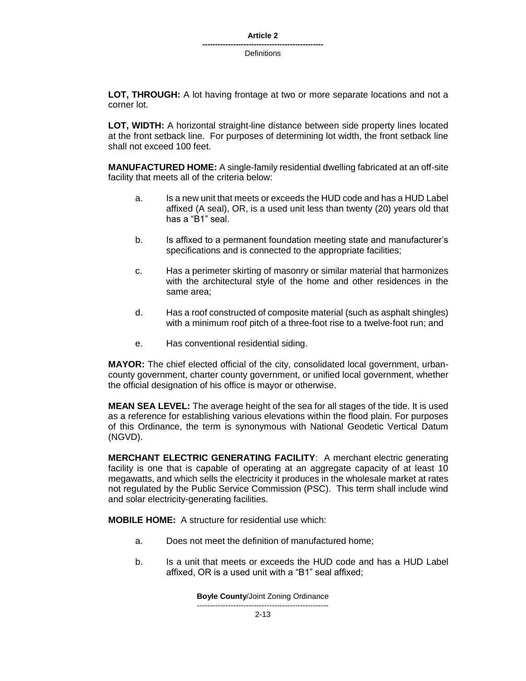#### **Article 2**

**----------------------------------------------- Definitions** 

**LOT, THROUGH:** A lot having frontage at two or more separate locations and not a corner lot.

**LOT, WIDTH:** A horizontal straight-line distance between side property lines located at the front setback line. For purposes of determining lot width, the front setback line shall not exceed 100 feet.

**MANUFACTURED HOME:** A single-family residential dwelling fabricated at an off-site facility that meets all of the criteria below:

- a. Is a new unit that meets or exceeds the HUD code and has a HUD Label affixed (A seal), OR, is a used unit less than twenty (20) years old that has a "B1" seal.
- b. Is affixed to a permanent foundation meeting state and manufacturer's specifications and is connected to the appropriate facilities;
- c. Has a perimeter skirting of masonry or similar material that harmonizes with the architectural style of the home and other residences in the same area;
- d. Has a roof constructed of composite material (such as asphalt shingles) with a minimum roof pitch of a three-foot rise to a twelve-foot run; and
- e. Has conventional residential siding.

**MAYOR:** The chief elected official of the city, consolidated local government, urbancounty government, charter county government, or unified local government, whether the official designation of his office is mayor or otherwise.

**MEAN SEA LEVEL:** The average height of the sea for all stages of the tide. It is used as a reference for establishing various elevations within the flood plain. For purposes of this Ordinance, the term is synonymous with National Geodetic Vertical Datum (NGVD).

**MERCHANT ELECTRIC GENERATING FACILITY**: A merchant electric generating facility is one that is capable of operating at an aggregate capacity of at least 10 megawatts, and which sells the electricity it produces in the wholesale market at rates not regulated by the Public Service Commission (PSC). This term shall include wind and solar electricity-generating facilities.

**MOBILE HOME:** A structure for residential use which:

- a. Does not meet the definition of manufactured home;
- b. Is a unit that meets or exceeds the HUD code and has a HUD Label affixed, OR is a used unit with a "B1" seal affixed;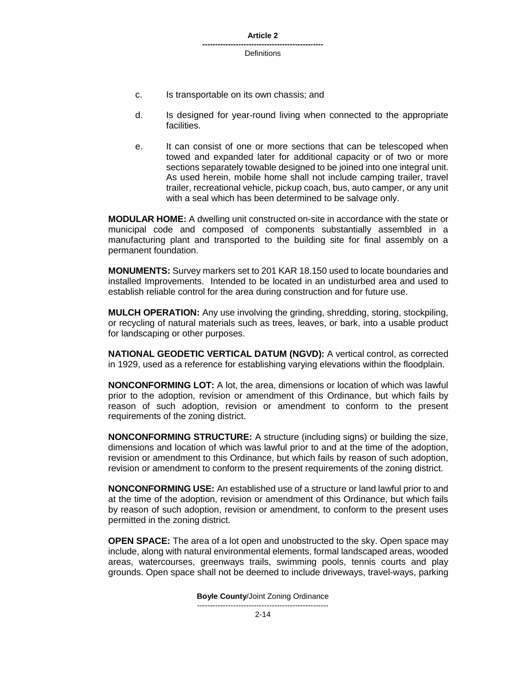**Article 2**

**----------------------------------------------- Definitions** 

- c. Is transportable on its own chassis; and
- d. Is designed for year-round living when connected to the appropriate facilities.
- e. It can consist of one or more sections that can be telescoped when towed and expanded later for additional capacity or of two or more sections separately towable designed to be joined into one integral unit. As used herein, mobile home shall not include camping trailer, travel trailer, recreational vehicle, pickup coach, bus, auto camper, or any unit with a seal which has been determined to be salvage only.

**MODULAR HOME:** A dwelling unit constructed on-site in accordance with the state or municipal code and composed of components substantially assembled in a manufacturing plant and transported to the building site for final assembly on a permanent foundation.

**MONUMENTS:** Survey markers set to 201 KAR 18.150 used to locate boundaries and installed Improvements. Intended to be located in an undisturbed area and used to establish reliable control for the area during construction and for future use.

**MULCH OPERATION:** Any use involving the grinding, shredding, storing, stockpiling, or recycling of natural materials such as trees, leaves, or bark, into a usable product for landscaping or other purposes.

**NATIONAL GEODETIC VERTICAL DATUM (NGVD):** A vertical control, as corrected in 1929, used as a reference for establishing varying elevations within the floodplain.

**NONCONFORMING LOT:** A lot, the area, dimensions or location of which was lawful prior to the adoption, revision or amendment of this Ordinance, but which fails by reason of such adoption, revision or amendment to conform to the present requirements of the zoning district.

**NONCONFORMING STRUCTURE:** A structure (including signs) or building the size, dimensions and location of which was lawful prior to and at the time of the adoption, revision or amendment to this Ordinance, but which fails by reason of such adoption, revision or amendment to conform to the present requirements of the zoning district.

**NONCONFORMING USE:** An established use of a structure or land lawful prior to and at the time of the adoption, revision or amendment of this Ordinance, but which fails by reason of such adoption, revision or amendment, to conform to the present uses permitted in the zoning district.

**OPEN SPACE:** The area of a lot open and unobstructed to the sky. Open space may include, along with natural environmental elements, formal landscaped areas, wooded areas, watercourses, greenways trails, swimming pools, tennis courts and play grounds. Open space shall not be deemed to include driveways, travel-ways, parking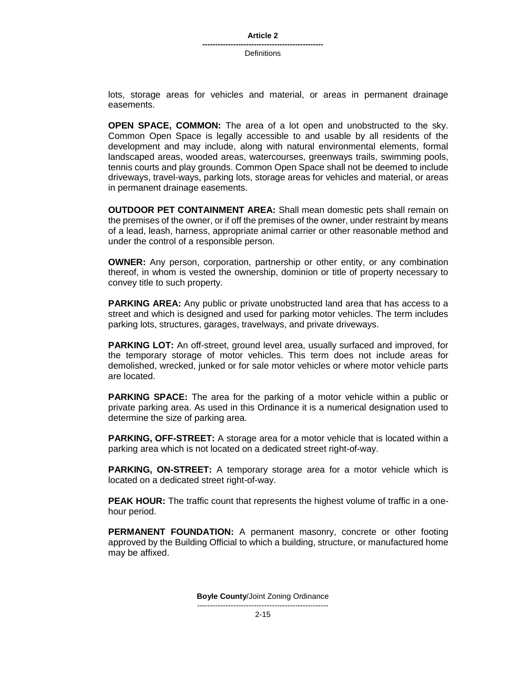lots, storage areas for vehicles and material, or areas in permanent drainage easements.

**OPEN SPACE, COMMON:** The area of a lot open and unobstructed to the sky. Common Open Space is legally accessible to and usable by all residents of the development and may include, along with natural environmental elements, formal landscaped areas, wooded areas, watercourses, greenways trails, swimming pools, tennis courts and play grounds. Common Open Space shall not be deemed to include driveways, travel-ways, parking lots, storage areas for vehicles and material, or areas in permanent drainage easements.

**OUTDOOR PET CONTAINMENT AREA:** Shall mean domestic pets shall remain on the premises of the owner, or if off the premises of the owner, under restraint by means of a lead, leash, harness, appropriate animal carrier or other reasonable method and under the control of a responsible person.

**OWNER:** Any person, corporation, partnership or other entity, or any combination thereof, in whom is vested the ownership, dominion or title of property necessary to convey title to such property.

**PARKING AREA:** Any public or private unobstructed land area that has access to a street and which is designed and used for parking motor vehicles. The term includes parking lots, structures, garages, travelways, and private driveways.

**PARKING LOT:** An off-street, ground level area, usually surfaced and improved, for the temporary storage of motor vehicles. This term does not include areas for demolished, wrecked, junked or for sale motor vehicles or where motor vehicle parts are located.

**PARKING SPACE:** The area for the parking of a motor vehicle within a public or private parking area. As used in this Ordinance it is a numerical designation used to determine the size of parking area.

**PARKING, OFF-STREET:** A storage area for a motor vehicle that is located within a parking area which is not located on a dedicated street right-of-way.

**PARKING, ON-STREET:** A temporary storage area for a motor vehicle which is located on a dedicated street right-of-way.

**PEAK HOUR:** The traffic count that represents the highest volume of traffic in a onehour period.

**PERMANENT FOUNDATION:** A permanent masonry, concrete or other footing approved by the Building Official to which a building, structure, or manufactured home may be affixed.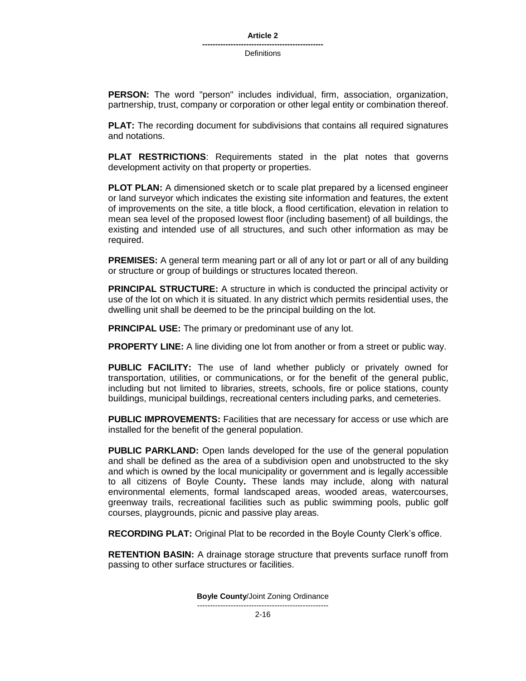**PERSON:** The word "person" includes individual, firm, association, organization, partnership, trust, company or corporation or other legal entity or combination thereof.

**PLAT:** The recording document for subdivisions that contains all required signatures and notations.

**PLAT RESTRICTIONS**: Requirements stated in the plat notes that governs development activity on that property or properties.

**PLOT PLAN:** A dimensioned sketch or to scale plat prepared by a licensed engineer or land surveyor which indicates the existing site information and features, the extent of improvements on the site, a title block, a flood certification, elevation in relation to mean sea level of the proposed lowest floor (including basement) of all buildings, the existing and intended use of all structures, and such other information as may be required.

**PREMISES:** A general term meaning part or all of any lot or part or all of any building or structure or group of buildings or structures located thereon.

**PRINCIPAL STRUCTURE:** A structure in which is conducted the principal activity or use of the lot on which it is situated. In any district which permits residential uses, the dwelling unit shall be deemed to be the principal building on the lot.

**PRINCIPAL USE:** The primary or predominant use of any lot.

**PROPERTY LINE:** A line dividing one lot from another or from a street or public way.

**PUBLIC FACILITY:** The use of land whether publicly or privately owned for transportation, utilities, or communications, or for the benefit of the general public, including but not limited to libraries, streets, schools, fire or police stations, county buildings, municipal buildings, recreational centers including parks, and cemeteries.

**PUBLIC IMPROVEMENTS:** Facilities that are necessary for access or use which are installed for the benefit of the general population.

**PUBLIC PARKLAND:** Open lands developed for the use of the general population and shall be defined as the area of a subdivision open and unobstructed to the sky and which is owned by the local municipality or government and is legally accessible to all citizens of Boyle County**.** These lands may include, along with natural environmental elements, formal landscaped areas, wooded areas, watercourses, greenway trails, recreational facilities such as public swimming pools, public golf courses, playgrounds, picnic and passive play areas.

**RECORDING PLAT:** Original Plat to be recorded in the Boyle County Clerk's office.

**RETENTION BASIN:** A drainage storage structure that prevents surface runoff from passing to other surface structures or facilities.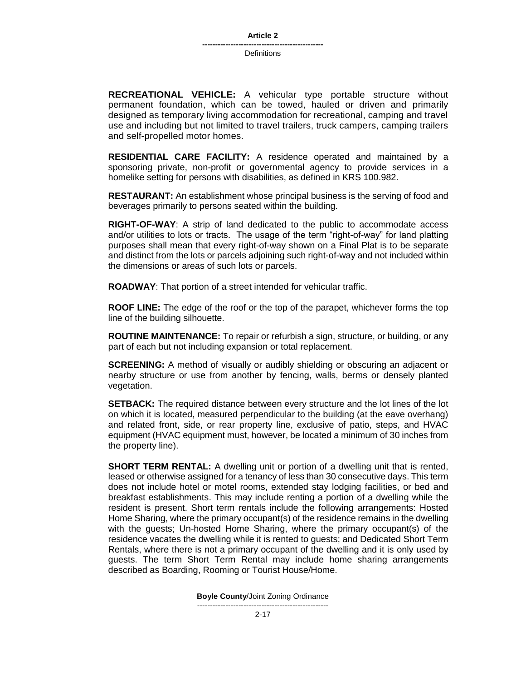**RECREATIONAL VEHICLE:** A vehicular type portable structure without permanent foundation, which can be towed, hauled or driven and primarily designed as temporary living accommodation for recreational, camping and travel use and including but not limited to travel trailers, truck campers, camping trailers and self-propelled motor homes.

**RESIDENTIAL CARE FACILITY:** A residence operated and maintained by a sponsoring private, non-profit or governmental agency to provide services in a homelike setting for persons with disabilities, as defined in KRS 100.982.

**RESTAURANT:** An establishment whose principal business is the serving of food and beverages primarily to persons seated within the building.

**RIGHT-OF-WAY**: A strip of land dedicated to the public to accommodate access and/or utilities to lots or tracts. The usage of the term "right-of-way" for land platting purposes shall mean that every right-of-way shown on a Final Plat is to be separate and distinct from the lots or parcels adjoining such right-of-way and not included within the dimensions or areas of such lots or parcels.

**ROADWAY**: That portion of a street intended for vehicular traffic.

**ROOF LINE:** The edge of the roof or the top of the parapet, whichever forms the top line of the building silhouette.

**ROUTINE MAINTENANCE:** To repair or refurbish a sign, structure, or building, or any part of each but not including expansion or total replacement.

**SCREENING:** A method of visually or audibly shielding or obscuring an adjacent or nearby structure or use from another by fencing, walls, berms or densely planted vegetation.

**SETBACK:** The required distance between every structure and the lot lines of the lot on which it is located, measured perpendicular to the building (at the eave overhang) and related front, side, or rear property line, exclusive of patio, steps, and HVAC equipment (HVAC equipment must, however, be located a minimum of 30 inches from the property line).

**SHORT TERM RENTAL:** A dwelling unit or portion of a dwelling unit that is rented, leased or otherwise assigned for a tenancy of less than 30 consecutive days. This term does not include hotel or motel rooms, extended stay lodging facilities, or bed and breakfast establishments. This may include renting a portion of a dwelling while the resident is present. Short term rentals include the following arrangements: Hosted Home Sharing, where the primary occupant(s) of the residence remains in the dwelling with the guests; Un-hosted Home Sharing, where the primary occupant(s) of the residence vacates the dwelling while it is rented to guests; and Dedicated Short Term Rentals, where there is not a primary occupant of the dwelling and it is only used by guests. The term Short Term Rental may include home sharing arrangements described as Boarding, Rooming or Tourist House/Home.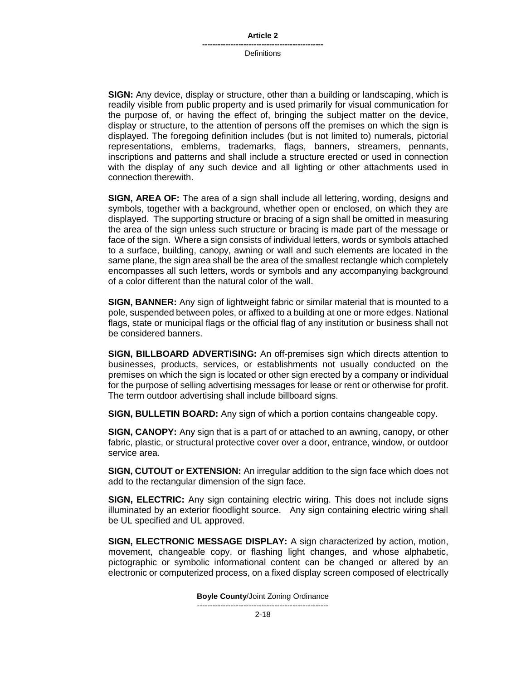**SIGN:** Any device, display or structure, other than a building or landscaping, which is readily visible from public property and is used primarily for visual communication for the purpose of, or having the effect of, bringing the subject matter on the device, display or structure, to the attention of persons off the premises on which the sign is displayed. The foregoing definition includes (but is not limited to) numerals, pictorial representations, emblems, trademarks, flags, banners, streamers, pennants, inscriptions and patterns and shall include a structure erected or used in connection with the display of any such device and all lighting or other attachments used in connection therewith.

**SIGN, AREA OF:** The area of a sign shall include all lettering, wording, designs and symbols, together with a background, whether open or enclosed, on which they are displayed. The supporting structure or bracing of a sign shall be omitted in measuring the area of the sign unless such structure or bracing is made part of the message or face of the sign. Where a sign consists of individual letters, words or symbols attached to a surface, building, canopy, awning or wall and such elements are located in the same plane, the sign area shall be the area of the smallest rectangle which completely encompasses all such letters, words or symbols and any accompanying background of a color different than the natural color of the wall.

**SIGN, BANNER:** Any sign of lightweight fabric or similar material that is mounted to a pole, suspended between poles, or affixed to a building at one or more edges. National flags, state or municipal flags or the official flag of any institution or business shall not be considered banners.

**SIGN, BILLBOARD ADVERTISING:** An off-premises sign which directs attention to businesses, products, services, or establishments not usually conducted on the premises on which the sign is located or other sign erected by a company or individual for the purpose of selling advertising messages for lease or rent or otherwise for profit. The term outdoor advertising shall include billboard signs.

**SIGN, BULLETIN BOARD:** Any sign of which a portion contains changeable copy.

**SIGN, CANOPY:** Any sign that is a part of or attached to an awning, canopy, or other fabric, plastic, or structural protective cover over a door, entrance, window, or outdoor service area.

**SIGN, CUTOUT or EXTENSION:** An irregular addition to the sign face which does not add to the rectangular dimension of the sign face.

**SIGN, ELECTRIC:** Any sign containing electric wiring. This does not include signs illuminated by an exterior floodlight source. Any sign containing electric wiring shall be UL specified and UL approved.

**SIGN, ELECTRONIC MESSAGE DISPLAY:** A sign characterized by action, motion, movement, changeable copy, or flashing light changes, and whose alphabetic, pictographic or symbolic informational content can be changed or altered by an electronic or computerized process, on a fixed display screen composed of electrically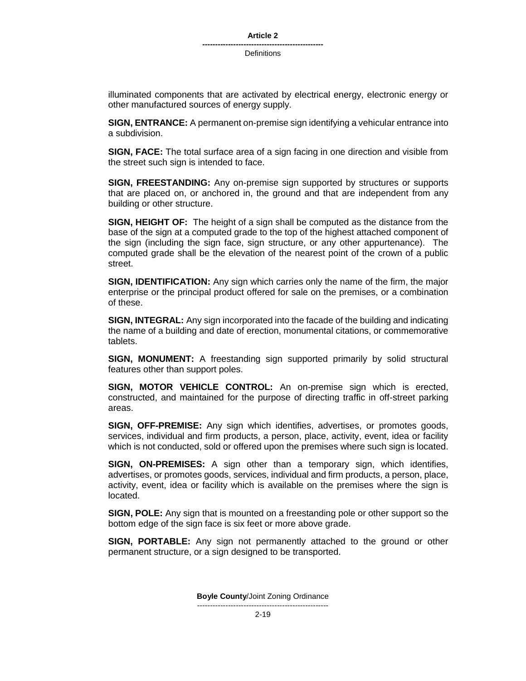illuminated components that are activated by electrical energy, electronic energy or other manufactured sources of energy supply.

**SIGN, ENTRANCE:** A permanent on-premise sign identifying a vehicular entrance into a subdivision.

**SIGN, FACE:** The total surface area of a sign facing in one direction and visible from the street such sign is intended to face.

**SIGN, FREESTANDING:** Any on-premise sign supported by structures or supports that are placed on, or anchored in, the ground and that are independent from any building or other structure.

**SIGN, HEIGHT OF:** The height of a sign shall be computed as the distance from the base of the sign at a computed grade to the top of the highest attached component of the sign (including the sign face, sign structure, or any other appurtenance). The computed grade shall be the elevation of the nearest point of the crown of a public street.

**SIGN, IDENTIFICATION:** Any sign which carries only the name of the firm, the major enterprise or the principal product offered for sale on the premises, or a combination of these.

**SIGN, INTEGRAL:** Any sign incorporated into the facade of the building and indicating the name of a building and date of erection, monumental citations, or commemorative tablets.

**SIGN, MONUMENT:** A freestanding sign supported primarily by solid structural features other than support poles.

**SIGN, MOTOR VEHICLE CONTROL:** An on-premise sign which is erected, constructed, and maintained for the purpose of directing traffic in off-street parking areas.

**SIGN, OFF-PREMISE:** Any sign which identifies, advertises, or promotes goods, services, individual and firm products, a person, place, activity, event, idea or facility which is not conducted, sold or offered upon the premises where such sign is located.

**SIGN, ON-PREMISES:** A sign other than a temporary sign, which identifies, advertises, or promotes goods, services, individual and firm products, a person, place, activity, event, idea or facility which is available on the premises where the sign is located.

**SIGN, POLE:** Any sign that is mounted on a freestanding pole or other support so the bottom edge of the sign face is six feet or more above grade.

**SIGN, PORTABLE:** Any sign not permanently attached to the ground or other permanent structure, or a sign designed to be transported.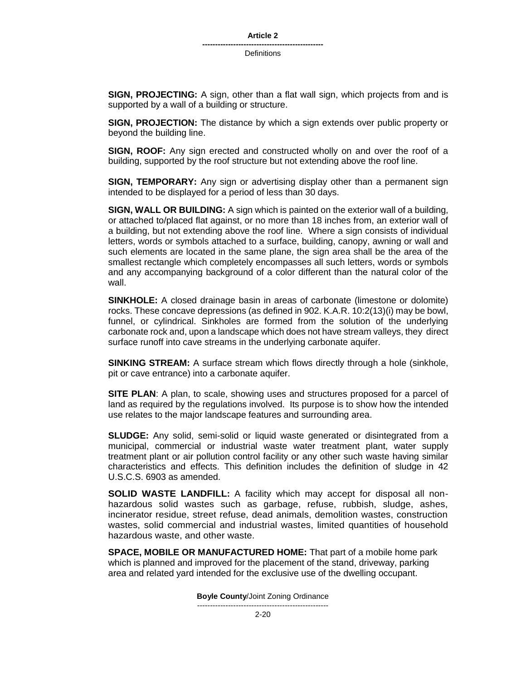**SIGN, PROJECTING:** A sign, other than a flat wall sign, which projects from and is supported by a wall of a building or structure.

**SIGN, PROJECTION:** The distance by which a sign extends over public property or beyond the building line.

**SIGN, ROOF:** Any sign erected and constructed wholly on and over the roof of a building, supported by the roof structure but not extending above the roof line.

**SIGN, TEMPORARY:** Any sign or advertising display other than a permanent sign intended to be displayed for a period of less than 30 days.

**SIGN, WALL OR BUILDING:** A sign which is painted on the exterior wall of a building, or attached to/placed flat against, or no more than 18 inches from, an exterior wall of a building, but not extending above the roof line. Where a sign consists of individual letters, words or symbols attached to a surface, building, canopy, awning or wall and such elements are located in the same plane, the sign area shall be the area of the smallest rectangle which completely encompasses all such letters, words or symbols and any accompanying background of a color different than the natural color of the wall.

**SINKHOLE:** A closed drainage basin in areas of carbonate (limestone or dolomite) rocks. These concave depressions (as defined in 902. K.A.R. 10:2(13)(i) may be bowl, funnel, or cylindrical. Sinkholes are formed from the solution of the underlying carbonate rock and, upon a landscape which does not have stream valleys, they direct surface runoff into cave streams in the underlying carbonate aquifer.

**SINKING STREAM:** A surface stream which flows directly through a hole (sinkhole, pit or cave entrance) into a carbonate aquifer.

**SITE PLAN**: A plan, to scale, showing uses and structures proposed for a parcel of land as required by the regulations involved. Its purpose is to show how the intended use relates to the major landscape features and surrounding area.

**SLUDGE:** Any solid, semi-solid or liquid waste generated or disintegrated from a municipal, commercial or industrial waste water treatment plant, water supply treatment plant or air pollution control facility or any other such waste having similar characteristics and effects. This definition includes the definition of sludge in 42 U.S.C.S. 6903 as amended.

**SOLID WASTE LANDFILL:** A facility which may accept for disposal all nonhazardous solid wastes such as garbage, refuse, rubbish, sludge, ashes, incinerator residue, street refuse, dead animals, demolition wastes, construction wastes, solid commercial and industrial wastes, limited quantities of household hazardous waste, and other waste.

**SPACE, MOBILE OR MANUFACTURED HOME:** That part of a mobile home park which is planned and improved for the placement of the stand, driveway, parking area and related yard intended for the exclusive use of the dwelling occupant.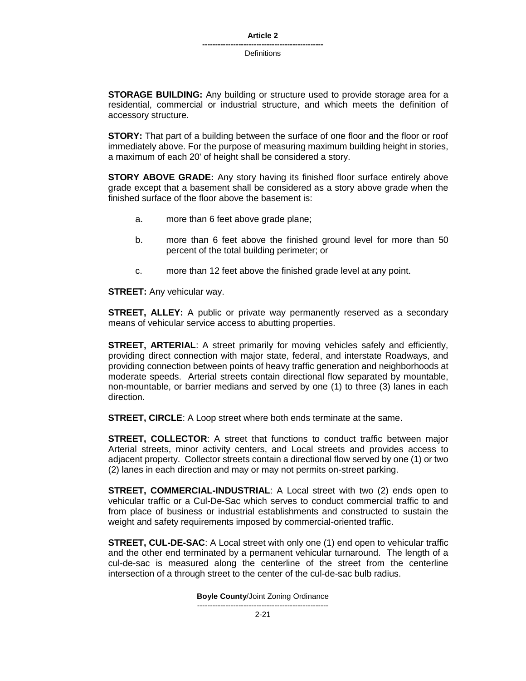**STORAGE BUILDING:** Any building or structure used to provide storage area for a residential, commercial or industrial structure, and which meets the definition of accessory structure.

**STORY:** That part of a building between the surface of one floor and the floor or roof immediately above. For the purpose of measuring maximum building height in stories, a maximum of each 20' of height shall be considered a story.

**STORY ABOVE GRADE:** Any story having its finished floor surface entirely above grade except that a basement shall be considered as a story above grade when the finished surface of the floor above the basement is:

- a. more than 6 feet above grade plane;
- b. more than 6 feet above the finished ground level for more than 50 percent of the total building perimeter; or
- c. more than 12 feet above the finished grade level at any point.

**STREET:** Any vehicular way.

**STREET, ALLEY:** A public or private way permanently reserved as a secondary means of vehicular service access to abutting properties.

**STREET, ARTERIAL**: A street primarily for moving vehicles safely and efficiently, providing direct connection with major state, federal, and interstate Roadways, and providing connection between points of heavy traffic generation and neighborhoods at moderate speeds. Arterial streets contain directional flow separated by mountable, non-mountable, or barrier medians and served by one (1) to three (3) lanes in each direction.

**STREET, CIRCLE**: A Loop street where both ends terminate at the same.

**STREET, COLLECTOR**: A street that functions to conduct traffic between major Arterial streets, minor activity centers, and Local streets and provides access to adjacent property. Collector streets contain a directional flow served by one (1) or two (2) lanes in each direction and may or may not permits on-street parking.

**STREET, COMMERCIAL-INDUSTRIAL**: A Local street with two (2) ends open to vehicular traffic or a Cul-De-Sac which serves to conduct commercial traffic to and from place of business or industrial establishments and constructed to sustain the weight and safety requirements imposed by commercial-oriented traffic.

**STREET, CUL-DE-SAC**: A Local street with only one (1) end open to vehicular traffic and the other end terminated by a permanent vehicular turnaround. The length of a cul-de-sac is measured along the centerline of the street from the centerline intersection of a through street to the center of the cul-de-sac bulb radius.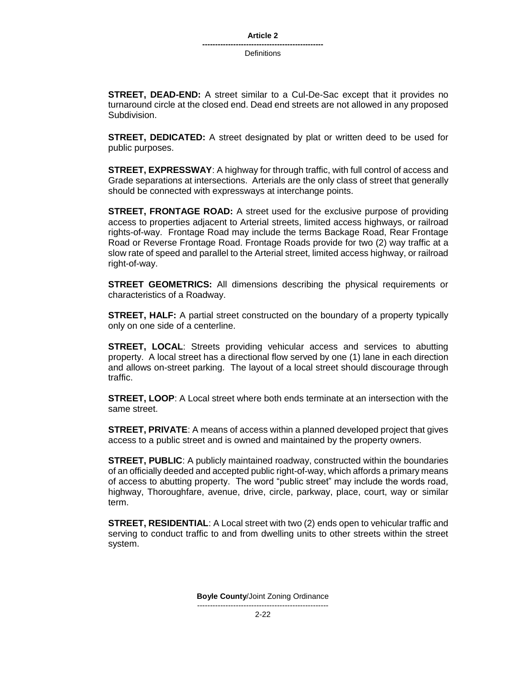**STREET, DEAD-END:** A street similar to a Cul-De-Sac except that it provides no turnaround circle at the closed end. Dead end streets are not allowed in any proposed Subdivision.

**STREET, DEDICATED:** A street designated by plat or written deed to be used for public purposes.

**STREET, EXPRESSWAY**: A highway for through traffic, with full control of access and Grade separations at intersections. Arterials are the only class of street that generally should be connected with expressways at interchange points.

**STREET, FRONTAGE ROAD:** A street used for the exclusive purpose of providing access to properties adjacent to Arterial streets, limited access highways, or railroad rights-of-way. Frontage Road may include the terms Backage Road, Rear Frontage Road or Reverse Frontage Road. Frontage Roads provide for two (2) way traffic at a slow rate of speed and parallel to the Arterial street, limited access highway, or railroad right-of-way.

**STREET GEOMETRICS:** All dimensions describing the physical requirements or characteristics of a Roadway.

**STREET, HALF:** A partial street constructed on the boundary of a property typically only on one side of a centerline.

**STREET, LOCAL**: Streets providing vehicular access and services to abutting property. A local street has a directional flow served by one (1) lane in each direction and allows on-street parking. The layout of a local street should discourage through traffic.

**STREET, LOOP**: A Local street where both ends terminate at an intersection with the same street.

**STREET, PRIVATE**: A means of access within a planned developed project that gives access to a public street and is owned and maintained by the property owners.

**STREET, PUBLIC:** A publicly maintained roadway, constructed within the boundaries of an officially deeded and accepted public right-of-way, which affords a primary means of access to abutting property. The word "public street" may include the words road, highway, Thoroughfare, avenue, drive, circle, parkway, place, court, way or similar term.

**STREET, RESIDENTIAL**: A Local street with two (2) ends open to vehicular traffic and serving to conduct traffic to and from dwelling units to other streets within the street system.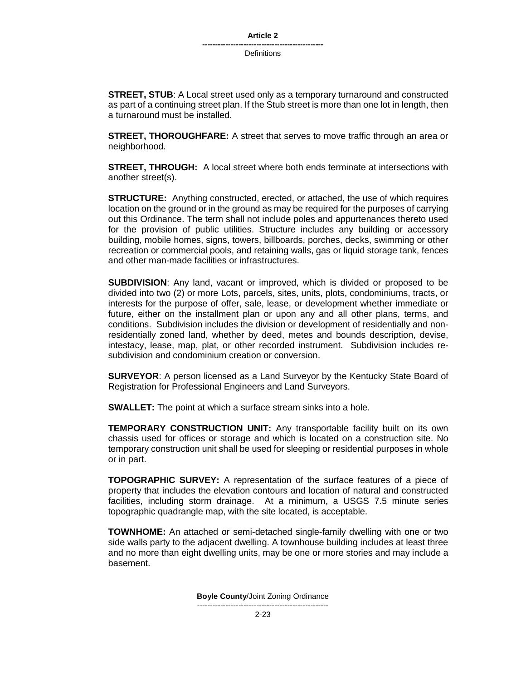#### **Article 2**

**----------------------------------------------- Definitions** 

**STREET, STUB**: A Local street used only as a temporary turnaround and constructed as part of a continuing street plan. If the Stub street is more than one lot in length, then a turnaround must be installed.

**STREET, THOROUGHFARE:** A street that serves to move traffic through an area or neighborhood.

**STREET, THROUGH:** A local street where both ends terminate at intersections with another street(s).

**STRUCTURE:** Anything constructed, erected, or attached, the use of which requires location on the ground or in the ground as may be required for the purposes of carrying out this Ordinance. The term shall not include poles and appurtenances thereto used for the provision of public utilities. Structure includes any building or accessory building, mobile homes, signs, towers, billboards, porches, decks, swimming or other recreation or commercial pools, and retaining walls, gas or liquid storage tank, fences and other man-made facilities or infrastructures.

**SUBDIVISION**: Any land, vacant or improved, which is divided or proposed to be divided into two (2) or more Lots, parcels, sites, units, plots, condominiums, tracts, or interests for the purpose of offer, sale, lease, or development whether immediate or future, either on the installment plan or upon any and all other plans, terms, and conditions. Subdivision includes the division or development of residentially and nonresidentially zoned land, whether by deed, metes and bounds description, devise, intestacy, lease, map, plat, or other recorded instrument. Subdivision includes resubdivision and condominium creation or conversion.

**SURVEYOR**: A person licensed as a Land Surveyor by the Kentucky State Board of Registration for Professional Engineers and Land Surveyors.

**SWALLET:** The point at which a surface stream sinks into a hole.

**TEMPORARY CONSTRUCTION UNIT:** Any transportable facility built on its own chassis used for offices or storage and which is located on a construction site. No temporary construction unit shall be used for sleeping or residential purposes in whole or in part.

**TOPOGRAPHIC SURVEY:** A representation of the surface features of a piece of property that includes the elevation contours and location of natural and constructed facilities, including storm drainage. At a minimum, a USGS 7.5 minute series topographic quadrangle map, with the site located, is acceptable.

**TOWNHOME:** An attached or semi-detached single-family dwelling with one or two side walls party to the adjacent dwelling. A townhouse building includes at least three and no more than eight dwelling units, may be one or more stories and may include a basement.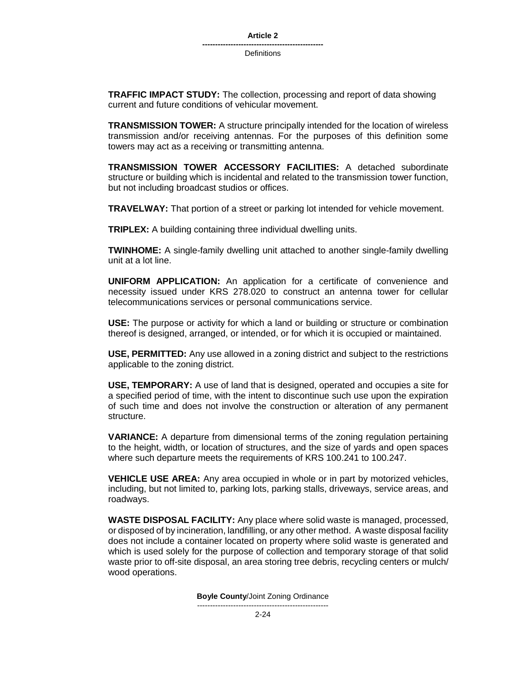**TRAFFIC IMPACT STUDY:** The collection, processing and report of data showing current and future conditions of vehicular movement.

**TRANSMISSION TOWER:** A structure principally intended for the location of wireless transmission and/or receiving antennas. For the purposes of this definition some towers may act as a receiving or transmitting antenna.

**TRANSMISSION TOWER ACCESSORY FACILITIES:** A detached subordinate structure or building which is incidental and related to the transmission tower function, but not including broadcast studios or offices.

**TRAVELWAY:** That portion of a street or parking lot intended for vehicle movement.

**TRIPLEX:** A building containing three individual dwelling units.

**TWINHOME:** A single-family dwelling unit attached to another single-family dwelling unit at a lot line.

**UNIFORM APPLICATION:** An application for a certificate of convenience and necessity issued under KRS 278.020 to construct an antenna tower for cellular telecommunications services or personal communications service.

**USE:** The purpose or activity for which a land or building or structure or combination thereof is designed, arranged, or intended, or for which it is occupied or maintained.

**USE, PERMITTED:** Any use allowed in a zoning district and subject to the restrictions applicable to the zoning district.

**USE, TEMPORARY:** A use of land that is designed, operated and occupies a site for a specified period of time, with the intent to discontinue such use upon the expiration of such time and does not involve the construction or alteration of any permanent structure.

**VARIANCE:** A departure from dimensional terms of the zoning regulation pertaining to the height, width, or location of structures, and the size of yards and open spaces where such departure meets the requirements of KRS 100.241 to 100.247.

**VEHICLE USE AREA:** Any area occupied in whole or in part by motorized vehicles, including, but not limited to, parking lots, parking stalls, driveways, service areas, and roadways.

**WASTE DISPOSAL FACILITY:** Any place where solid waste is managed, processed, or disposed of by incineration, landfilling, or any other method. A waste disposal facility does not include a container located on property where solid waste is generated and which is used solely for the purpose of collection and temporary storage of that solid waste prior to off-site disposal, an area storing tree debris, recycling centers or mulch/ wood operations.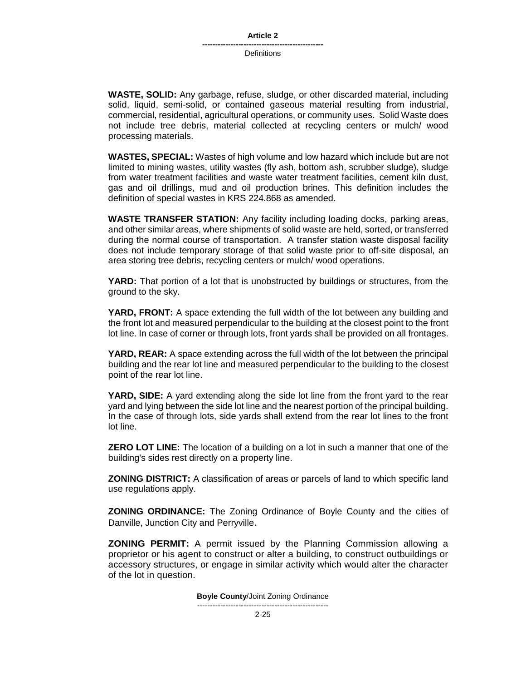**WASTE, SOLID:** Any garbage, refuse, sludge, or other discarded material, including solid, liquid, semi-solid, or contained gaseous material resulting from industrial, commercial, residential, agricultural operations, or community uses. Solid Waste does not include tree debris, material collected at recycling centers or mulch/ wood processing materials.

**WASTES, SPECIAL:** Wastes of high volume and low hazard which include but are not limited to mining wastes, utility wastes (fly ash, bottom ash, scrubber sludge), sludge from water treatment facilities and waste water treatment facilities, cement kiln dust, gas and oil drillings, mud and oil production brines. This definition includes the definition of special wastes in KRS 224.868 as amended.

**WASTE TRANSFER STATION:** Any facility including loading docks, parking areas, and other similar areas, where shipments of solid waste are held, sorted, or transferred during the normal course of transportation. A transfer station waste disposal facility does not include temporary storage of that solid waste prior to off-site disposal, an area storing tree debris, recycling centers or mulch/ wood operations.

**YARD:** That portion of a lot that is unobstructed by buildings or structures, from the ground to the sky.

**YARD, FRONT:** A space extending the full width of the lot between any building and the front lot and measured perpendicular to the building at the closest point to the front lot line. In case of corner or through lots, front yards shall be provided on all frontages.

**YARD, REAR:** A space extending across the full width of the lot between the principal building and the rear lot line and measured perpendicular to the building to the closest point of the rear lot line.

**YARD, SIDE:** A yard extending along the side lot line from the front yard to the rear yard and lying between the side lot line and the nearest portion of the principal building. In the case of through lots, side yards shall extend from the rear lot lines to the front lot line.

**ZERO LOT LINE:** The location of a building on a lot in such a manner that one of the building's sides rest directly on a property line.

**ZONING DISTRICT:** A classification of areas or parcels of land to which specific land use regulations apply.

**ZONING ORDINANCE:** The Zoning Ordinance of Boyle County and the cities of Danville, Junction City and Perryville.

**ZONING PERMIT:** A permit issued by the Planning Commission allowing a proprietor or his agent to construct or alter a building, to construct outbuildings or accessory structures, or engage in similar activity which would alter the character of the lot in question.